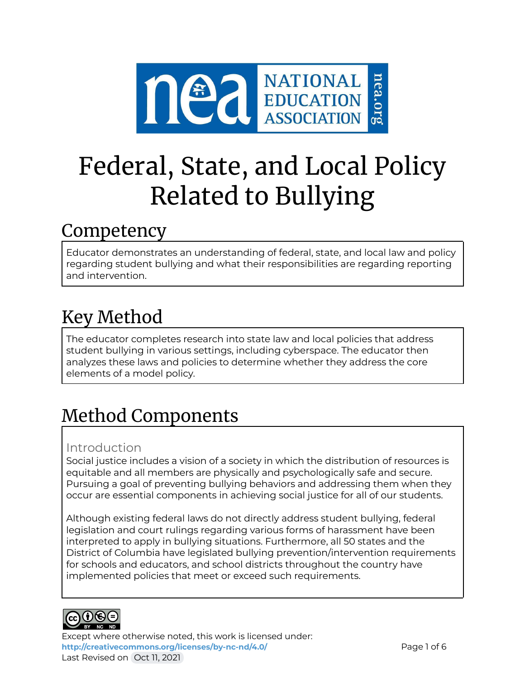

# Federal, State, and Local Policy Related to Bullying

### Competency

Educator demonstrates an understanding of federal, state, and local law and policy regarding student bullying and what their responsibilities are regarding reporting and intervention.

## Key Method

The educator completes research into state law and local policies that address student bullying in various settings, including cyberspace. The educator then analyzes these laws and policies to determine whether they address the core elements of a model policy.

# Method Components

### Introduction

Social justice includes a vision of a society in which the distribution of resources is equitable and all members are physically and psychologically safe and secure. Pursuing a goal of preventing bullying behaviors and addressing them when they occur are essential components in achieving social justice for all of our students.

Although existing federal laws do not directly address student bullying, federal legislation and court rulings regarding various forms of harassment have been interpreted to apply in bullying situations. Furthermore, all 50 states and the District of Columbia have legislated bullying prevention/intervention requirements for schools and educators, and school districts throughout the country have implemented policies that meet or exceed such requirements.



Except where otherwise noted, this work is licensed under: <http://creativecommons.org/licenses/by-nc-nd/4.0/> **Page 1 of 6** Last Revised on Oct 11, 2021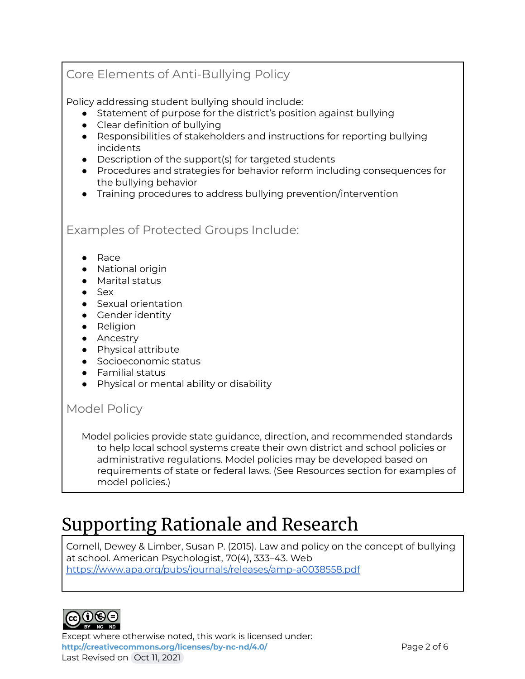### Core Elements of Anti-Bullying Policy

Policy addressing student bullying should include:

- Statement of purpose for the district's position against bullying
- Clear definition of bullying
- Responsibilities of stakeholders and instructions for reporting bullying incidents
- Description of the support(s) for targeted students
- Procedures and strategies for behavior reform including consequences for the bullying behavior
- Training procedures to address bullying prevention/intervention

Examples of Protected Groups Include:

- Race
- National origin
- Marital status
- Sex
- Sexual orientation
- Gender identity
- Religion
- Ancestry
- Physical attribute
- Socioeconomic status
- Familial status
- Physical or mental ability or disability

#### Model Policy

Model policies provide state guidance, direction, and recommended standards to help local school systems create their own district and school policies or administrative regulations. Model policies may be developed based on requirements of state or federal laws. (See Resources section for examples of model policies.)

### Supporting Rationale and Research

Cornell, Dewey & Limber, Susan P. (2015). Law and policy on the concept of bullying at school. American Psychologist, 70(4), 333–43. Web <https://www.apa.org/pubs/journals/releases/amp-a0038558.pdf>



Except where otherwise noted, this work is licensed under: <http://creativecommons.org/licenses/by-nc-nd/4.0/> **Page 2 of 6** Last Revised on Oct 11, 2021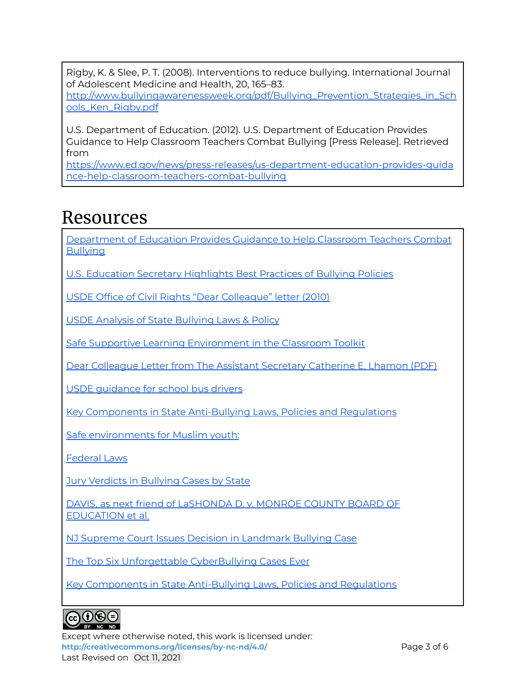Rigby, K. & Slee, P. T. (2008). Interventions to reduce bullying. International Journal of Adolescent Medicine and Health, 20, 165–83.

[http://www.bullyingawarenessweek.org/pdf/Bullying\\_Prevention\\_Strategies\\_in\\_Sch](http://www.bullyingawarenessweek.org/pdf/Bullying_Prevention_Strategies_in_Schools_Ken_Rigby.pdf) [ools\\_Ken\\_Rigby.pdf](http://www.bullyingawarenessweek.org/pdf/Bullying_Prevention_Strategies_in_Schools_Ken_Rigby.pdf)

U.S. Department of Education. (2012). U.S. Department of Education Provides Guidance to Help Classroom Teachers Combat Bullying [Press Release]. Retrieved from

[https://www.ed.gov/news/press-releases/us-department-education-provides-guida](https://www.ed.gov/news/press-releases/us-department-education-provides-guidance-help-classroom-teachers-combat-bullying) [nce-help-classroom-teachers-combat-bullying](https://www.ed.gov/news/press-releases/us-department-education-provides-guidance-help-classroom-teachers-combat-bullying)

### Resources

[Department](https://www2.ed.gov/about/offices/list/ocr/letters/colleague-201010.pdf) of Education Provides Guidance to Help Classroom Teachers Combat **[Bullying](https://www2.ed.gov/about/offices/list/ocr/letters/colleague-201010.pdf)** 

U.S. Education Secretary [Highlights](https://www2.ed.gov/policy/speced/guid/idea/memosdcltrs/bullyingdcl-enclosure-8-20-13.pdf) Best Practices of Bullying Policies

USDE Office of Civil Rights "Dear [Colleague"](https://www2.ed.gov/about/offices/list/ocr/letters/colleague-bullying-201410.pdf) letter (2010)

USDE Analysis of State [Bullying](https://www2.ed.gov/rschstat/eval/bullying/state-bullying-laws/state-bullying-laws.pdf) Laws & Policy

Safe Supportive Learning [Environment](https://safesupportivelearning.ed.gov/creating-safe-and-respectful-environment-our-nations-classrooms) in the Classroom Toolkit

Dear [Colleague](https://www2.ed.gov/about/offices/list/ocr/letters/colleague-bullying-201410.pdf) Letter from The Assistant Secretary Catherine E. Lhamon (PDF)

USDE [guidance](https://safesupportivelearning.ed.gov/creating-safe-and-respectful-environment-our-nations-school-buses-training-toolkit) for school bus drivers

Key Components in State [Anti-Bullying](https://www.stopbullying.gov/laws/key-components/index.html) Laws, Policies and Regulations

Safe [environments](https://www.stopbullying.gov/blog/2016/02/09/protecting-our-muslim-youth) for Muslim youth:

[Federal](https://www.stopbullying.gov/laws/federal/index.html) Laws

Jury Verdicts in [Bullying](https://www.publicjustice.net/wp-content/uploads/2018/01/2018.01.08-Winter-2017-Edition-Bullying-Verdicts-and-Settlements-Final.pdf) Cases by State

DAVIS, as next friend of [LaSHONDA](https://www.law.cornell.edu/supct/html/97-843.ZS.html) D. v. MONROE COUNTY BOARD OF [EDUCATION](https://www.law.cornell.edu/supct/html/97-843.ZS.html) et al.

NJ Supreme Court Issues Decision in [Landmark](http://www.edlawcenter.org/news/archives/bullying-and-residence/nj-supreme-court-issues-decision-in-landmark-bullying-case.html) Bullying Case

The Top Six Unforgettable [CyberBullying](https://www.prweb.com/releases/2014/02/prweb11609229.htm) Cases Ever

Key Components in State [Anti-Bullying](https://www.stopbullying.gov/laws/key-components/index.html#modelpolicy) Laws, Policies and Regulations



Except where otherwise noted, this work is licensed under: <http://creativecommons.org/licenses/by-nc-nd/4.0/><br>
Page 3 of 6 Last Revised on Oct 11, 2021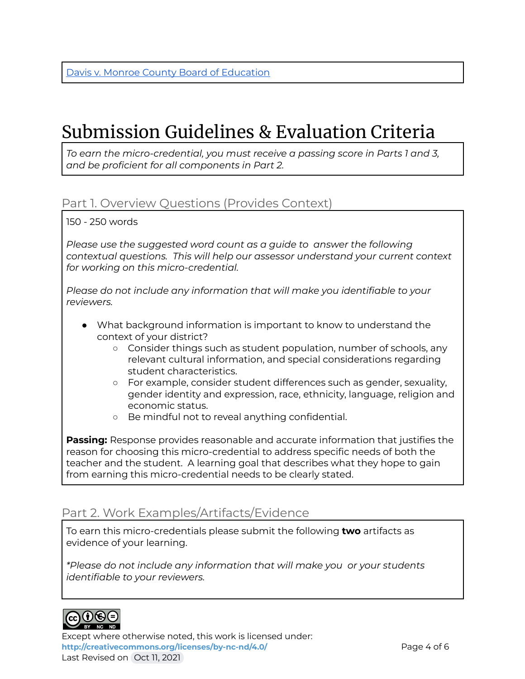### Submission Guidelines & Evaluation Criteria

*To earn the micro-credential, you must receive a passing score in Parts 1 and 3, and be proficient for all components in Part 2.*

### Part 1. Overview Questions (Provides Context)

150 - 250 words

*Please use the suggested word count as a guide to answer the following contextual questions. This will help our assessor understand your current context for working on this micro-credential.*

*Please do not include any information that will make you identifiable to your reviewers.*

- What background information is important to know to understand the context of your district?
	- Consider things such as student population, number of schools, any relevant cultural information, and special considerations regarding student characteristics.
	- For example, consider student differences such as gender, sexuality, gender identity and expression, race, ethnicity, language, religion and economic status.
	- Be mindful not to reveal anything confidential.

**Passing:** Response provides reasonable and accurate information that justifies the reason for choosing this micro-credential to address specific needs of both the teacher and the student. A learning goal that describes what they hope to gain from earning this micro-credential needs to be clearly stated.

#### Part 2. Work Examples/Artifacts/Evidence

To earn this micro-credentials please submit the following **two** artifacts as evidence of your learning.

*\*Please do not include any information that will make you or your students identifiable to your reviewers.*



Except where otherwise noted, this work is licensed under: <http://creativecommons.org/licenses/by-nc-nd/4.0/><br>
Page 4 of 6 Last Revised on Oct 11, 2021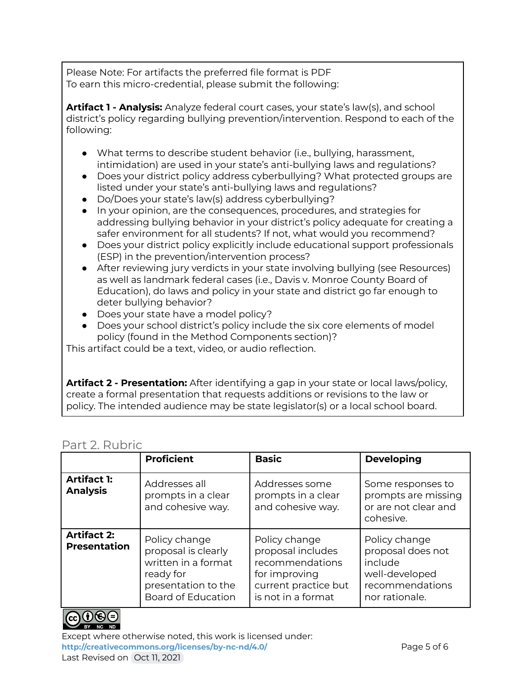Please Note: For artifacts the preferred file format is PDF To earn this micro-credential, please submit the following:

**Artifact 1 - Analysis:** Analyze federal court cases, your state's law(s), and school district's policy regarding bullying prevention/intervention. Respond to each of the following:

- What terms to describe student behavior (i.e., bullying, harassment, intimidation) are used in your state's anti-bullying laws and regulations?
- Does your district policy address cyberbullying? What protected groups are listed under your state's anti-bullying laws and regulations?
- Do/Does your state's law(s) address cyberbullying?
- In your opinion, are the consequences, procedures, and strategies for addressing bullying behavior in your district's policy adequate for creating a safer environment for all students? If not, what would you recommend?
- Does your district policy explicitly include educational support professionals (ESP) in the prevention/intervention process?
- After reviewing jury verdicts in your state involving bullying (see Resources) as well as landmark federal cases (i.e., Davis v. Monroe County Board of Education), do laws and policy in your state and district go far enough to deter bullying behavior?
- Does your state have a model policy?
- Does your school district's policy include the six core elements of model policy (found in the Method Components section)?

This artifact could be a text, video, or audio reflection.

**Artifact 2 - Presentation:** After identifying a gap in your state or local laws/policy, create a formal presentation that requests additions or revisions to the law or policy. The intended audience may be state legislator(s) or a local school board.

#### Part 2. Rubric

| <u>UILLE, INUNIN</u>                      |                                                                                                                       |                                                                                                                      |                                                                                                      |  |
|-------------------------------------------|-----------------------------------------------------------------------------------------------------------------------|----------------------------------------------------------------------------------------------------------------------|------------------------------------------------------------------------------------------------------|--|
|                                           | <b>Proficient</b>                                                                                                     | <b>Basic</b>                                                                                                         | <b>Developing</b>                                                                                    |  |
| <b>Artifact 1:</b><br><b>Analysis</b>     | Addresses all<br>prompts in a clear<br>and cohesive way.                                                              | Addresses some<br>prompts in a clear<br>and cohesive way.                                                            | Some responses to<br>prompts are missing<br>or are not clear and<br>cohesive.                        |  |
| <b>Artifact 2:</b><br><b>Presentation</b> | Policy change<br>proposal is clearly<br>written in a format<br>ready for<br>presentation to the<br>Board of Education | Policy change<br>proposal includes<br>recommendations<br>for improving<br>current practice but<br>is not in a format | Policy change<br>proposal does not<br>include<br>well-developed<br>recommendations<br>nor rationale. |  |



Except where otherwise noted, this work is licensed under: <http://creativecommons.org/licenses/by-nc-nd/4.0/><br>
Page 5 of 6 Last Revised on Oct 11, 2021